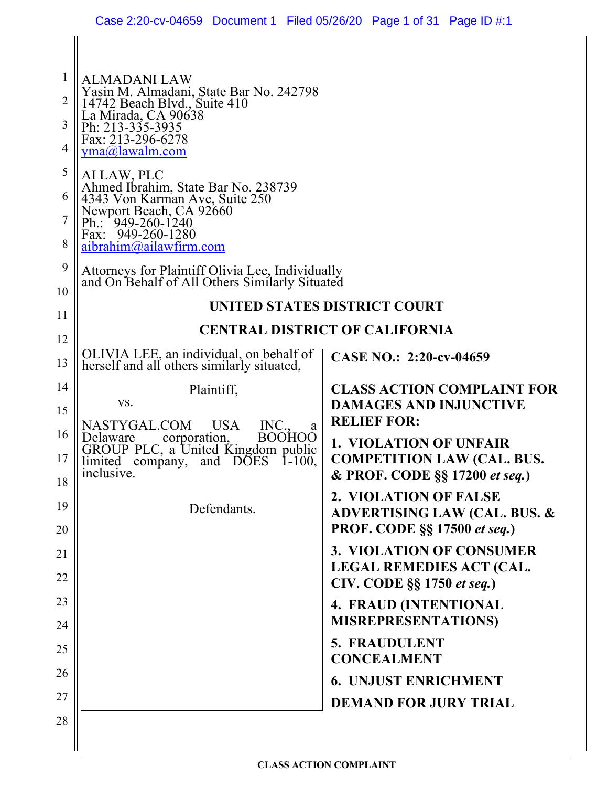|                                                                      | Case 2:20-cv-04659 Document 1 Filed 05/26/20 Page 1 of 31 Page ID #:1                                                                                                                                                                                                                                                         |                                                                                                      |
|----------------------------------------------------------------------|-------------------------------------------------------------------------------------------------------------------------------------------------------------------------------------------------------------------------------------------------------------------------------------------------------------------------------|------------------------------------------------------------------------------------------------------|
| $\mathbf{1}$<br>$\overline{2}$<br>3<br>$\overline{4}$<br>5<br>6<br>7 | <b>ALMADANI LAW</b><br>Yasin M. Almadani, State Bar No. 242798<br>14742 Beach Blvd., Suite 410<br>La Mirada, CA 90638<br>Ph: 213-335-3935<br>Fax: 213-296-6278<br>$yma@$ lawalm.com<br>AI LAW, PLC<br>Ahmed Ibrahim, State Bar No. 238739<br>4343 Von Karman Ave, Suite 250<br>Newport Beach, CA 92660<br>Ph.: $949-260-1240$ |                                                                                                      |
| 8                                                                    | Fax: 949-260-1280<br>aibrahim@ailawfirm.com                                                                                                                                                                                                                                                                                   |                                                                                                      |
| 9                                                                    | Attorneys for Plaintiff Olivia Lee, Individually                                                                                                                                                                                                                                                                              |                                                                                                      |
| 10                                                                   | and On Behalf of All Others Similarly Situated                                                                                                                                                                                                                                                                                |                                                                                                      |
| 11                                                                   | UNITED STATES DISTRICT COURT                                                                                                                                                                                                                                                                                                  |                                                                                                      |
| 12                                                                   |                                                                                                                                                                                                                                                                                                                               | <b>CENTRAL DISTRICT OF CALIFORNIA</b>                                                                |
| 13                                                                   | OLIVIA LEE, an individual, on behalf of<br>herself and all others similarly situated,                                                                                                                                                                                                                                         | CASE NO.: 2:20-cv-04659                                                                              |
| 14<br>15                                                             | Plaintiff,<br>VS.<br><b>USA</b><br>INC.<br>NASTYGAL.COM<br>a                                                                                                                                                                                                                                                                  | <b>CLASS ACTION COMPLAINT FOR</b><br><b>DAMAGES AND INJUNCTIVE</b><br><b>RELIEF FOR:</b>             |
| 16<br>17<br>18                                                       | <b>BOOHOO</b><br>Delaware<br>corporation,<br>GROUP PLC, a United Kingdom public<br>limited company, and DOES 1-100,<br>inclusive.                                                                                                                                                                                             | <b>1. VIOLATION OF UNFAIR</b><br><b>COMPETITION LAW (CAL. BUS.</b><br>& PROF. CODE §§ 17200 et seq.) |
| 19                                                                   |                                                                                                                                                                                                                                                                                                                               | 2. VIOLATION OF FALSE                                                                                |
| 20                                                                   | Defendants.                                                                                                                                                                                                                                                                                                                   | <b>ADVERTISING LAW (CAL. BUS. &amp;</b><br><b>PROF. CODE §§ 17500 et seq.)</b>                       |
| 21                                                                   |                                                                                                                                                                                                                                                                                                                               | 3. VIOLATION OF CONSUMER                                                                             |
| 22                                                                   |                                                                                                                                                                                                                                                                                                                               | <b>LEGAL REMEDIES ACT (CAL.</b><br>CIV. CODE §§ 1750 et seq.)                                        |
| 23                                                                   |                                                                                                                                                                                                                                                                                                                               | 4. FRAUD (INTENTIONAL                                                                                |
| 24                                                                   |                                                                                                                                                                                                                                                                                                                               | <b>MISREPRESENTATIONS)</b>                                                                           |
| 25                                                                   |                                                                                                                                                                                                                                                                                                                               | 5. FRAUDULENT<br><b>CONCEALMENT</b>                                                                  |
| 26                                                                   |                                                                                                                                                                                                                                                                                                                               | <b>6. UNJUST ENRICHMENT</b>                                                                          |
| 27                                                                   |                                                                                                                                                                                                                                                                                                                               | <b>DEMAND FOR JURY TRIAL</b>                                                                         |
| 28                                                                   |                                                                                                                                                                                                                                                                                                                               |                                                                                                      |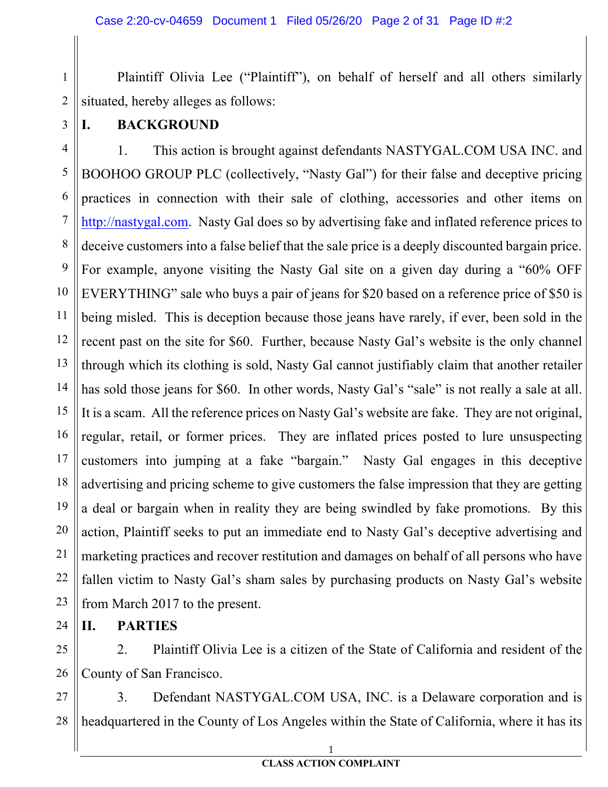Plaintiff Olivia Lee ("Plaintiff"), on behalf of herself and all others similarly situated, hereby alleges as follows:

3

1

2

#### **I. BACKGROUND**

4 5 6 7 8 9 10 11 12 13 14 15 16 17 18 19 20 21 22 23 1. This action is brought against defendants NASTYGAL.COM USA INC. and BOOHOO GROUP PLC (collectively, "Nasty Gal") for their false and deceptive pricing practices in connection with their sale of clothing, accessories and other items on http://nastygal.com. Nasty Gal does so by advertising fake and inflated reference prices to deceive customers into a false belief that the sale price is a deeply discounted bargain price. For example, anyone visiting the Nasty Gal site on a given day during a "60% OFF EVERYTHING" sale who buys a pair of jeans for \$20 based on a reference price of \$50 is being misled. This is deception because those jeans have rarely, if ever, been sold in the recent past on the site for \$60. Further, because Nasty Gal's website is the only channel through which its clothing is sold, Nasty Gal cannot justifiably claim that another retailer has sold those jeans for \$60. In other words, Nasty Gal's "sale" is not really a sale at all. It is a scam. All the reference prices on Nasty Gal's website are fake. They are not original, regular, retail, or former prices. They are inflated prices posted to lure unsuspecting customers into jumping at a fake "bargain." Nasty Gal engages in this deceptive advertising and pricing scheme to give customers the false impression that they are getting a deal or bargain when in reality they are being swindled by fake promotions. By this action, Plaintiff seeks to put an immediate end to Nasty Gal's deceptive advertising and marketing practices and recover restitution and damages on behalf of all persons who have fallen victim to Nasty Gal's sham sales by purchasing products on Nasty Gal's website from March 2017 to the present.

**II. PARTIES**

24

25 26 2. Plaintiff Olivia Lee is a citizen of the State of California and resident of the County of San Francisco.

27 28 3. Defendant NASTYGAL.COM USA, INC. is a Delaware corporation and is headquartered in the County of Los Angeles within the State of California, where it has its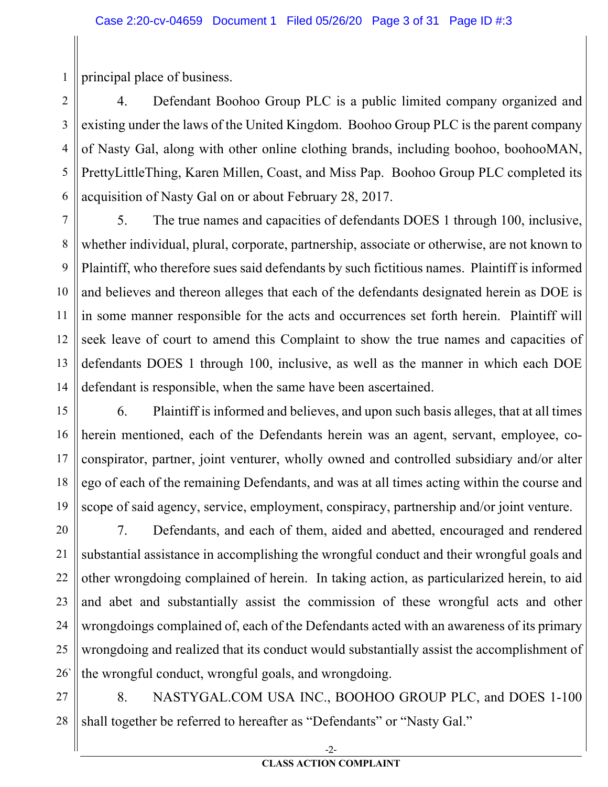1 principal place of business.

 $\overline{2}$ 3 4 5 6 4. Defendant Boohoo Group PLC is a public limited company organized and existing under the laws of the United Kingdom. Boohoo Group PLC is the parent company of Nasty Gal, along with other online clothing brands, including boohoo, boohooMAN, PrettyLittleThing, Karen Millen, Coast, and Miss Pap. Boohoo Group PLC completed its acquisition of Nasty Gal on or about February 28, 2017.

7 8 9 10 11 12 13 14 5. The true names and capacities of defendants DOES 1 through 100, inclusive, whether individual, plural, corporate, partnership, associate or otherwise, are not known to Plaintiff, who therefore sues said defendants by such fictitious names. Plaintiff is informed and believes and thereon alleges that each of the defendants designated herein as DOE is in some manner responsible for the acts and occurrences set forth herein. Plaintiff will seek leave of court to amend this Complaint to show the true names and capacities of defendants DOES 1 through 100, inclusive, as well as the manner in which each DOE defendant is responsible, when the same have been ascertained.

15 16 17 18 19 6. Plaintiff is informed and believes, and upon such basis alleges, that at all times herein mentioned, each of the Defendants herein was an agent, servant, employee, coconspirator, partner, joint venturer, wholly owned and controlled subsidiary and/or alter ego of each of the remaining Defendants, and was at all times acting within the course and scope of said agency, service, employment, conspiracy, partnership and/or joint venture.

20 21 22 23 24 25 26` 7. Defendants, and each of them, aided and abetted, encouraged and rendered substantial assistance in accomplishing the wrongful conduct and their wrongful goals and other wrongdoing complained of herein. In taking action, as particularized herein, to aid and abet and substantially assist the commission of these wrongful acts and other wrongdoings complained of, each of the Defendants acted with an awareness of its primary wrongdoing and realized that its conduct would substantially assist the accomplishment of the wrongful conduct, wrongful goals, and wrongdoing.

27 28 8. NASTYGAL.COM USA INC., BOOHOO GROUP PLC, and DOES 1-100 shall together be referred to hereafter as "Defendants" or "Nasty Gal."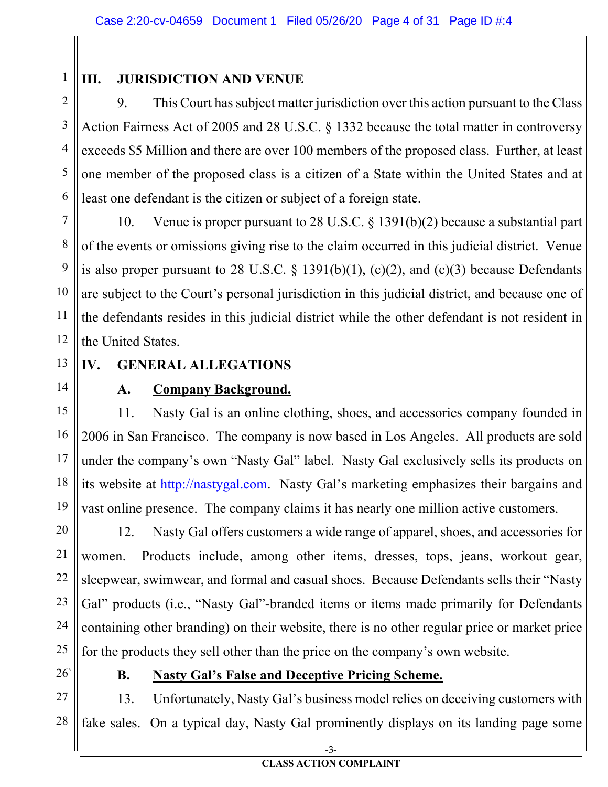1 2

### **III. JURISDICTION AND VENUE**

3 4 5 6 9. This Court has subject matter jurisdiction over this action pursuant to the Class Action Fairness Act of 2005 and 28 U.S.C. § 1332 because the total matter in controversy exceeds \$5 Million and there are over 100 members of the proposed class. Further, at least one member of the proposed class is a citizen of a State within the United States and at least one defendant is the citizen or subject of a foreign state.

7 8 9 10 11 12 10. Venue is proper pursuant to 28 U.S.C. § 1391(b)(2) because a substantial part of the events or omissions giving rise to the claim occurred in this judicial district. Venue is also proper pursuant to 28 U.S.C.  $\S$  1391(b)(1), (c)(2), and (c)(3) because Defendants are subject to the Court's personal jurisdiction in this judicial district, and because one of the defendants resides in this judicial district while the other defendant is not resident in the United States.

13 14

# **IV. GENERAL ALLEGATIONS**

### **A. Company Background.**

15 16 17 18 19 11. Nasty Gal is an online clothing, shoes, and accessories company founded in 2006 in San Francisco. The company is now based in Los Angeles. All products are sold under the company's own "Nasty Gal" label. Nasty Gal exclusively sells its products on its website at http://nastygal.com. Nasty Gal's marketing emphasizes their bargains and vast online presence. The company claims it has nearly one million active customers.

20 21 22 23 24 25 12. Nasty Gal offers customers a wide range of apparel, shoes, and accessories for women. Products include, among other items, dresses, tops, jeans, workout gear, sleepwear, swimwear, and formal and casual shoes. Because Defendants sells their "Nasty Gal" products (i.e., "Nasty Gal"-branded items or items made primarily for Defendants containing other branding) on their website, there is no other regular price or market price for the products they sell other than the price on the company's own website.

26`

#### **B. Nasty Gal's False and Deceptive Pricing Scheme.**

27 28 13. Unfortunately, Nasty Gal's business model relies on deceiving customers with fake sales. On a typical day, Nasty Gal prominently displays on its landing page some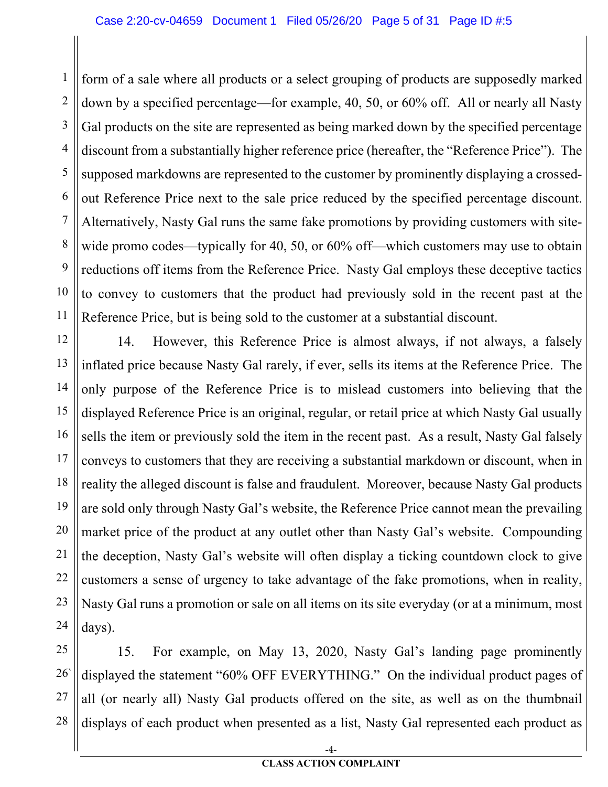1 2 3 4 5 6 7 8 9 10 11 form of a sale where all products or a select grouping of products are supposedly marked down by a specified percentage—for example, 40, 50, or 60% off. All or nearly all Nasty Gal products on the site are represented as being marked down by the specified percentage discount from a substantially higher reference price (hereafter, the "Reference Price"). The supposed markdowns are represented to the customer by prominently displaying a crossedout Reference Price next to the sale price reduced by the specified percentage discount. Alternatively, Nasty Gal runs the same fake promotions by providing customers with sitewide promo codes—typically for 40, 50, or 60% of f—which customers may use to obtain reductions off items from the Reference Price. Nasty Gal employs these deceptive tactics to convey to customers that the product had previously sold in the recent past at the Reference Price, but is being sold to the customer at a substantial discount.

12 13 14 15 16 17 18 19 20 21 22 23 24 14. However, this Reference Price is almost always, if not always, a falsely inflated price because Nasty Gal rarely, if ever, sells its items at the Reference Price. The only purpose of the Reference Price is to mislead customers into believing that the displayed Reference Price is an original, regular, or retail price at which Nasty Gal usually sells the item or previously sold the item in the recent past. As a result, Nasty Gal falsely conveys to customers that they are receiving a substantial markdown or discount, when in reality the alleged discount is false and fraudulent. Moreover, because Nasty Gal products are sold only through Nasty Gal's website, the Reference Price cannot mean the prevailing market price of the product at any outlet other than Nasty Gal's website. Compounding the deception, Nasty Gal's website will often display a ticking countdown clock to give customers a sense of urgency to take advantage of the fake promotions, when in reality, Nasty Gal runs a promotion or sale on all items on its site everyday (or at a minimum, most days).

25 26` 27 28 15. For example, on May 13, 2020, Nasty Gal's landing page prominently displayed the statement "60% OFF EVERYTHING." On the individual product pages of all (or nearly all) Nasty Gal products offered on the site, as well as on the thumbnail displays of each product when presented as a list, Nasty Gal represented each product as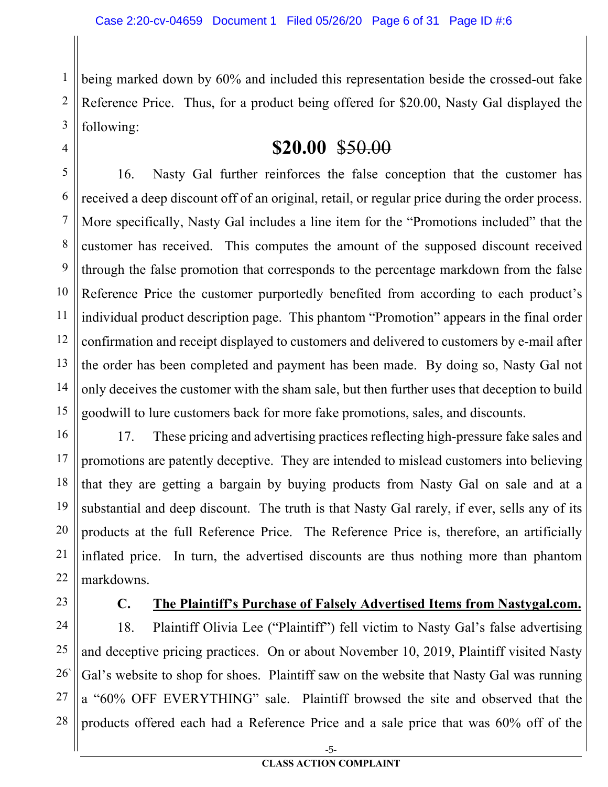2 3 being marked down by 60% and included this representation beside the crossed-out fake Reference Price. Thus, for a product being offered for \$20.00, Nasty Gal displayed the following:

### **\$20.00** \$50.00

5 6 7 8 9 10 11 12 13 14 15 16. Nasty Gal further reinforces the false conception that the customer has received a deep discount off of an original, retail, or regular price during the order process. More specifically, Nasty Gal includes a line item for the "Promotions included" that the customer has received. This computes the amount of the supposed discount received through the false promotion that corresponds to the percentage markdown from the false Reference Price the customer purportedly benefited from according to each product's individual product description page. This phantom "Promotion" appears in the final order confirmation and receipt displayed to customers and delivered to customers by e-mail after the order has been completed and payment has been made. By doing so, Nasty Gal not only deceives the customer with the sham sale, but then further uses that deception to build goodwill to lure customers back for more fake promotions, sales, and discounts.

16 17 18 19 20 21 22 17. These pricing and advertising practices reflecting high-pressure fake sales and promotions are patently deceptive. They are intended to mislead customers into believing that they are getting a bargain by buying products from Nasty Gal on sale and at a substantial and deep discount. The truth is that Nasty Gal rarely, if ever, sells any of its products at the full Reference Price. The Reference Price is, therefore, an artificially inflated price. In turn, the advertised discounts are thus nothing more than phantom markdowns.

23

1

4

#### **C. The Plaintiff's Purchase of Falsely Advertised Items from Nastygal.com.**

24 25 26` 27 28 18. Plaintiff Olivia Lee ("Plaintiff") fell victim to Nasty Gal's false advertising and deceptive pricing practices. On or about November 10, 2019, Plaintiff visited Nasty Gal's website to shop for shoes. Plaintiff saw on the website that Nasty Gal was running a "60% OFF EVERYTHING" sale. Plaintiff browsed the site and observed that the products offered each had a Reference Price and a sale price that was 60% off of the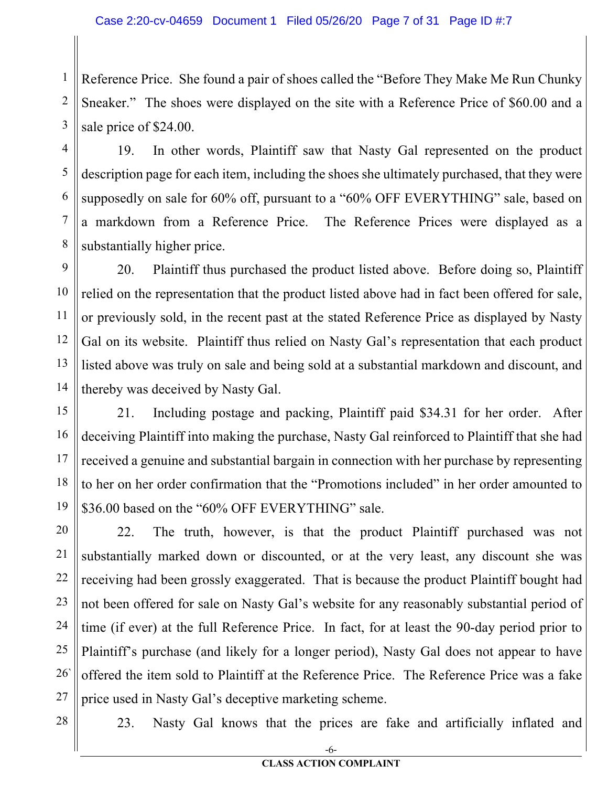1 2 3 Reference Price. She found a pair of shoes called the "Before They Make Me Run Chunky Sneaker." The shoes were displayed on the site with a Reference Price of \$60.00 and a sale price of \$24.00.

19. In other words, Plaintiff saw that Nasty Gal represented on the product description page for each item, including the shoes she ultimately purchased, that they were supposedly on sale for 60% off, pursuant to a "60% OFF EVERYTHING" sale, based on a markdown from a Reference Price. The Reference Prices were displayed as a substantially higher price.

9 10 11 12 13 14 20. Plaintiff thus purchased the product listed above. Before doing so, Plaintiff relied on the representation that the product listed above had in fact been offered for sale, or previously sold, in the recent past at the stated Reference Price as displayed by Nasty Gal on its website. Plaintiff thus relied on Nasty Gal's representation that each product listed above was truly on sale and being sold at a substantial markdown and discount, and thereby was deceived by Nasty Gal.

15 16 17 18 19 21. Including postage and packing, Plaintiff paid \$34.31 for her order. After deceiving Plaintiff into making the purchase, Nasty Gal reinforced to Plaintiff that she had received a genuine and substantial bargain in connection with her purchase by representing to her on her order confirmation that the "Promotions included" in her order amounted to \$36.00 based on the "60% OFF EVERYTHING" sale.

20 21 22 23 24 25 26` 27 22. The truth, however, is that the product Plaintiff purchased was not substantially marked down or discounted, or at the very least, any discount she was receiving had been grossly exaggerated. That is because the product Plaintiff bought had not been offered for sale on Nasty Gal's website for any reasonably substantial period of time (if ever) at the full Reference Price. In fact, for at least the 90-day period prior to Plaintiff's purchase (and likely for a longer period), Nasty Gal does not appear to have offered the item sold to Plaintiff at the Reference Price. The Reference Price was a fake price used in Nasty Gal's deceptive marketing scheme.

28

4

5

6

7

8

23. Nasty Gal knows that the prices are fake and artificially inflated and

-6- **CLASS ACTION COMPLAINT**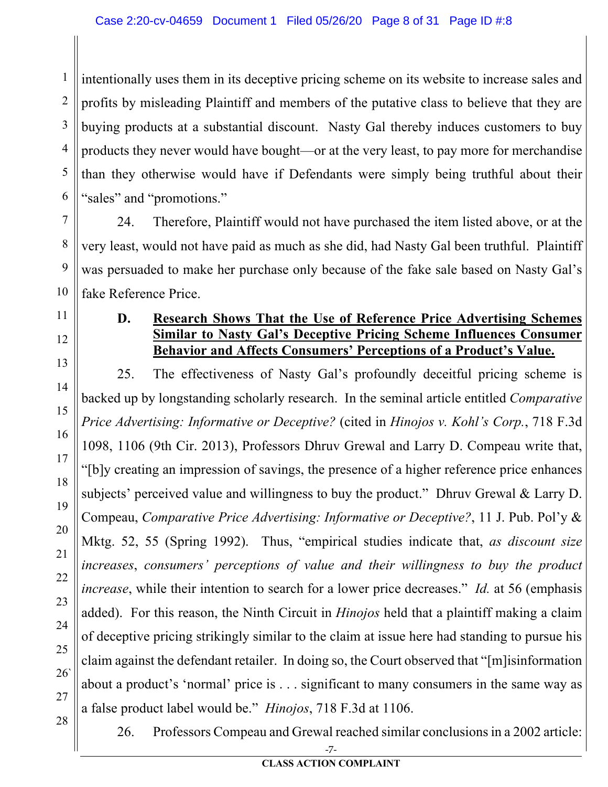1 2 3 4 5 6 intentionally uses them in its deceptive pricing scheme on its website to increase sales and profits by misleading Plaintiff and members of the putative class to believe that they are buying products at a substantial discount. Nasty Gal thereby induces customers to buy products they never would have bought—or at the very least, to pay more for merchandise than they otherwise would have if Defendants were simply being truthful about their "sales" and "promotions."

24. Therefore, Plaintiff would not have purchased the item listed above, or at the very least, would not have paid as much as she did, had Nasty Gal been truthful. Plaintiff was persuaded to make her purchase only because of the fake sale based on Nasty Gal's fake Reference Price.

### 11 12

7

8

9

10

13

14

15

16

17

18

19

20

21

22

23

24

25

26`

27

28

#### **D. Research Shows That the Use of Reference Price Advertising Schemes Similar to Nasty Gal's Deceptive Pricing Scheme Influences Consumer Behavior and Affects Consumers' Perceptions of a Product's Value.**

25. The effectiveness of Nasty Gal's profoundly deceitful pricing scheme is backed up by longstanding scholarly research. In the seminal article entitled *Comparative Price Advertising: Informative or Deceptive?* (cited in *Hinojos v. Kohl's Corp.*, 718 F.3d 1098, 1106 (9th Cir. 2013), Professors Dhruv Grewal and Larry D. Compeau write that, "[b]y creating an impression of savings, the presence of a higher reference price enhances subjects' perceived value and willingness to buy the product." Dhruv Grewal & Larry D. Compeau, *Comparative Price Advertising: Informative or Deceptive?*, 11 J. Pub. Pol'y & Mktg. 52, 55 (Spring 1992). Thus, "empirical studies indicate that, *as discount size increases*, *consumers' perceptions of value and their willingness to buy the product increase*, while their intention to search for a lower price decreases." *Id.* at 56 (emphasis added). For this reason, the Ninth Circuit in *Hinojos* held that a plaintiff making a claim of deceptive pricing strikingly similar to the claim at issue here had standing to pursue his claim against the defendant retailer. In doing so, the Court observed that "[m]isinformation about a product's 'normal' price is . . . significant to many consumers in the same way as a false product label would be." *Hinojos*, 718 F.3d at 1106.

26. Professors Compeau and Grewal reached similar conclusions in a 2002 article:

-7-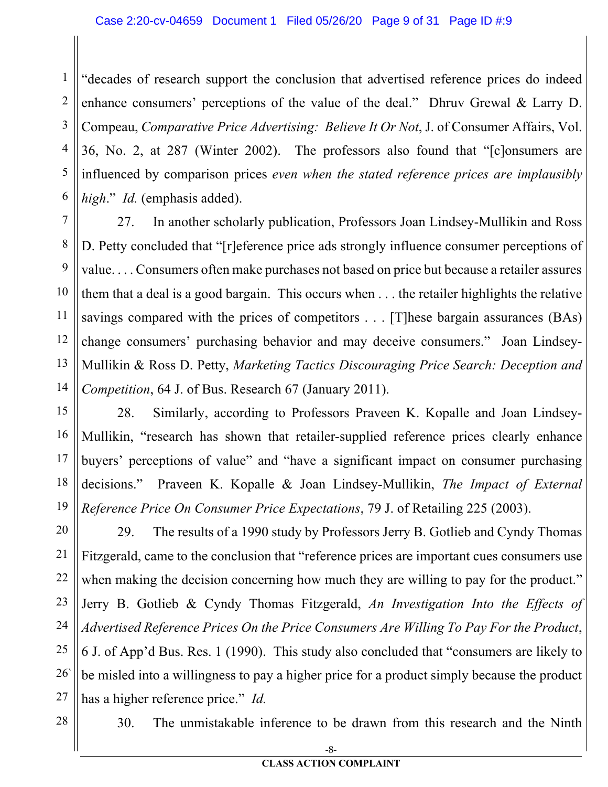1 2 3 4 5 6 "decades of research support the conclusion that advertised reference prices do indeed enhance consumers' perceptions of the value of the deal." Dhruv Grewal & Larry D. Compeau, *Comparative Price Advertising: Believe It Or Not*, J. of Consumer Affairs, Vol. 36, No. 2, at 287 (Winter 2002). The professors also found that "[c]onsumers are influenced by comparison prices *even when the stated reference prices are implausibly high*." *Id.* (emphasis added).

7 8 9 10 11 12 13 14 27. In another scholarly publication, Professors Joan Lindsey-Mullikin and Ross D. Petty concluded that "[r]eference price ads strongly influence consumer perceptions of value. . . . Consumers often make purchases not based on price but because a retailer assures them that a deal is a good bargain. This occurs when . . . the retailer highlights the relative savings compared with the prices of competitors . . . [T] hese bargain assurances (BAs) change consumers' purchasing behavior and may deceive consumers." Joan Lindsey-Mullikin & Ross D. Petty, *Marketing Tactics Discouraging Price Search: Deception and Competition*, 64 J. of Bus. Research 67 (January 2011).

15 16 17 18 19 28. Similarly, according to Professors Praveen K. Kopalle and Joan Lindsey-Mullikin, "research has shown that retailer-supplied reference prices clearly enhance buyers' perceptions of value" and "have a significant impact on consumer purchasing decisions." Praveen K. Kopalle & Joan Lindsey-Mullikin, *The Impact of External Reference Price On Consumer Price Expectations*, 79 J. of Retailing 225 (2003).

20 21 22 23 24 25 26` 27 29. The results of a 1990 study by Professors Jerry B. Gotlieb and Cyndy Thomas Fitzgerald, came to the conclusion that "reference prices are important cues consumers use when making the decision concerning how much they are willing to pay for the product." Jerry B. Gotlieb & Cyndy Thomas Fitzgerald, *An Investigation Into the Effects of Advertised Reference Prices On the Price Consumers Are Willing To Pay For the Product*, 6 J. of App'd Bus. Res. 1 (1990). This study also concluded that "consumers are likely to be misled into a willingness to pay a higher price for a product simply because the product has a higher reference price." *Id.*

28

30. The unmistakable inference to be drawn from this research and the Ninth

-8- **CLASS ACTION COMPLAINT**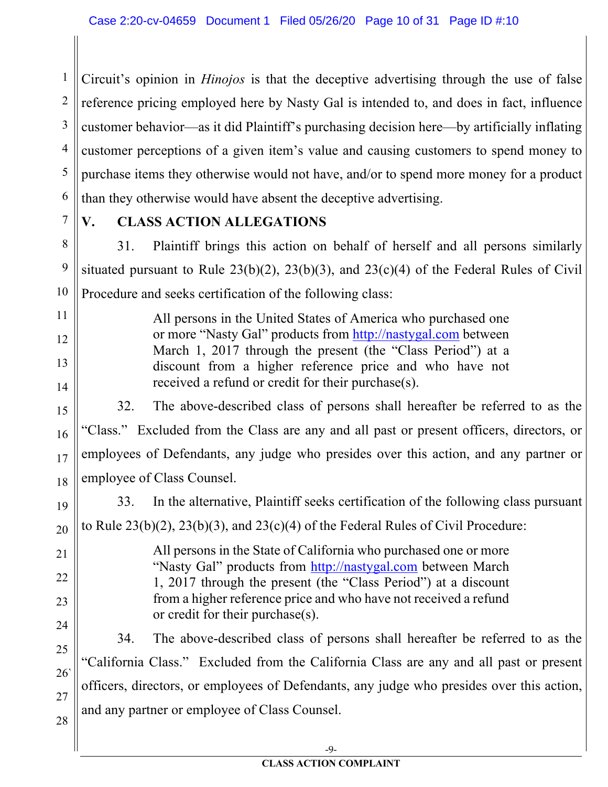1 2 3 4 5 6 Circuit's opinion in *Hinojos* is that the deceptive advertising through the use of false reference pricing employed here by Nasty Gal is intended to, and does in fact, influence customer behavior—as it did Plaintiff's purchasing decision here—by artificially inflating customer perceptions of a given item's value and causing customers to spend money to purchase items they otherwise would not have, and/or to spend more money for a product than they otherwise would have absent the deceptive advertising.

7

11

12

13

14

15

16

17

18

19

20

21

22

23

24

25

26`

27

28

#### **V. CLASS ACTION ALLEGATIONS**

8 9 10 31. Plaintiff brings this action on behalf of herself and all persons similarly situated pursuant to Rule  $23(b)(2)$ ,  $23(b)(3)$ , and  $23(c)(4)$  of the Federal Rules of Civil Procedure and seeks certification of the following class:

> All persons in the United States of America who purchased one or more "Nasty Gal" products from http://nastygal.com between March 1, 2017 through the present (the "Class Period") at a discount from a higher reference price and who have not received a refund or credit for their purchase(s).

32. The above-described class of persons shall hereafter be referred to as the "Class." Excluded from the Class are any and all past or present officers, directors, or employees of Defendants, any judge who presides over this action, and any partner or employee of Class Counsel.

33. In the alternative, Plaintiff seeks certification of the following class pursuant to Rule  $23(b)(2)$ ,  $23(b)(3)$ , and  $23(c)(4)$  of the Federal Rules of Civil Procedure:

> All persons in the State of California who purchased one or more "Nasty Gal" products from http://nastygal.com between March 1, 2017 through the present (the "Class Period") at a discount from a higher reference price and who have not received a refund or credit for their purchase(s).

34. The above-described class of persons shall hereafter be referred to as the "California Class." Excluded from the California Class are any and all past or present officers, directors, or employees of Defendants, any judge who presides over this action, and any partner or employee of Class Counsel.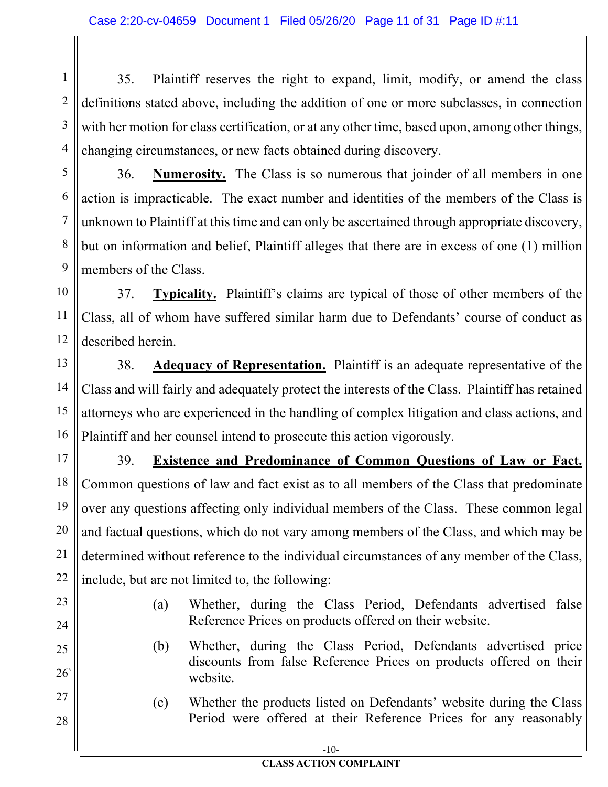1 2 3 4 35. Plaintiff reserves the right to expand, limit, modify, or amend the class definitions stated above, including the addition of one or more subclasses, in connection with her motion for class certification, or at any other time, based upon, among other things, changing circumstances, or new facts obtained during discovery.

5 6 7 8 9 36. **Numerosity.** The Class is so numerous that joinder of all members in one action is impracticable. The exact number and identities of the members of the Class is unknown to Plaintiff at this time and can only be ascertained through appropriate discovery, but on information and belief, Plaintiff alleges that there are in excess of one (1) million members of the Class.

10 11 12 37. **Typicality.** Plaintiff's claims are typical of those of other members of the Class, all of whom have suffered similar harm due to Defendants' course of conduct as described herein.

13 14 15 16 38. **Adequacy of Representation.** Plaintiff is an adequate representative of the Class and will fairly and adequately protect the interests of the Class. Plaintiff has retained attorneys who are experienced in the handling of complex litigation and class actions, and Plaintiff and her counsel intend to prosecute this action vigorously.

17 18 19 20 21 22 39. **Existence and Predominance of Common Questions of Law or Fact.** Common questions of law and fact exist as to all members of the Class that predominate over any questions affecting only individual members of the Class. These common legal and factual questions, which do not vary among members of the Class, and which may be determined without reference to the individual circumstances of any member of the Class, include, but are not limited to, the following:

23

24

25

26`

27

28

- (a) Whether, during the Class Period, Defendants advertised false Reference Prices on products offered on their website.
- (b) Whether, during the Class Period, Defendants advertised price discounts from false Reference Prices on products offered on their website.
- (c) Whether the products listed on Defendants' website during the Class Period were offered at their Reference Prices for any reasonably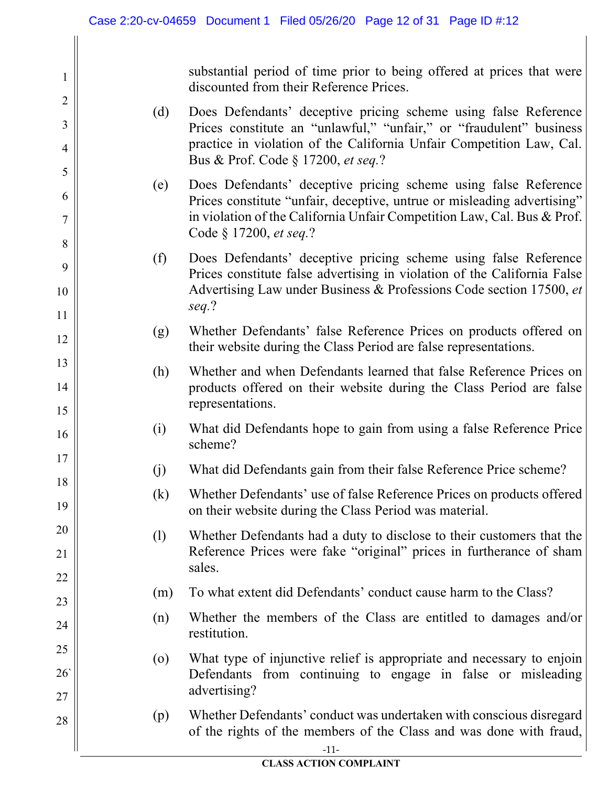1

2

3

4

5

6

7

8

9

10

11

12

13

14

15

16

17

18

19

20

21

22

23

24

25

26`

27

28

substantial period of time prior to being offered at prices that were discounted from their Reference Prices.

- (d) Does Defendants' deceptive pricing scheme using false Reference Prices constitute an "unlawful," "unfair," or "fraudulent" business practice in violation of the California Unfair Competition Law, Cal. Bus & Prof. Code § 17200, *et seq.*?
- (e) Does Defendants' deceptive pricing scheme using false Reference Prices constitute "unfair, deceptive, untrue or misleading advertising" in violation of the California Unfair Competition Law, Cal. Bus & Prof. Code § 17200, *et seq.*?
- (f) Does Defendants' deceptive pricing scheme using false Reference Prices constitute false advertising in violation of the California False Advertising Law under Business & Professions Code section 17500, *et seq.*?
- (g) Whether Defendants' false Reference Prices on products offered on their website during the Class Period are false representations.
- (h) Whether and when Defendants learned that false Reference Prices on products offered on their website during the Class Period are false representations.
- (i) What did Defendants hope to gain from using a false Reference Price scheme?
- (j) What did Defendants gain from their false Reference Price scheme?
- (k) Whether Defendants' use of false Reference Prices on products offered on their website during the Class Period was material.
- (l) Whether Defendants had a duty to disclose to their customers that the Reference Prices were fake "original" prices in furtherance of sham sales.
- (m) To what extent did Defendants' conduct cause harm to the Class?
- (n) Whether the members of the Class are entitled to damages and/or restitution.
- (o) What type of injunctive relief is appropriate and necessary to enjoin Defendants from continuing to engage in false or misleading advertising?
- (p) Whether Defendants' conduct was undertaken with conscious disregard of the rights of the members of the Class and was done with fraud,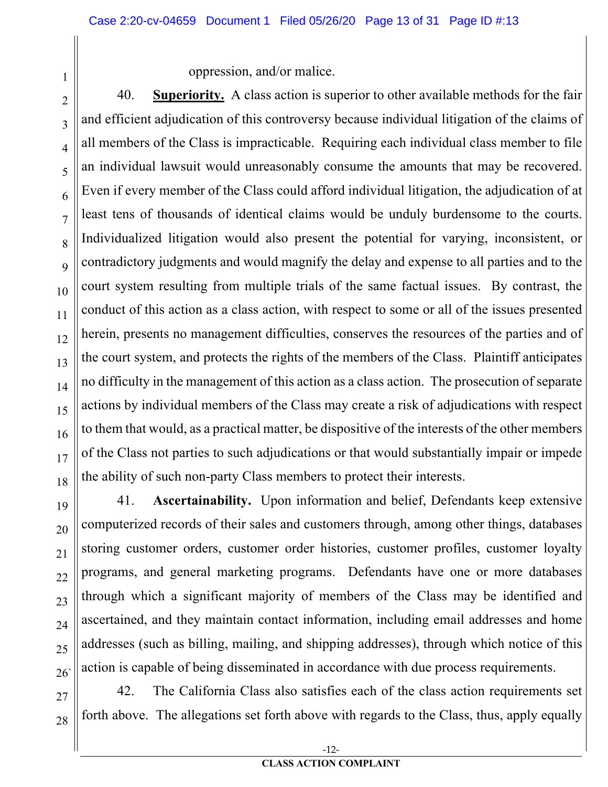oppression, and/or malice.

1

2

3

4

5

6

7

8

 $\overline{Q}$ 

10

11

12

13

14

15

16

17

18

19

20

21

22

23

24

25

26`

40. **Superiority.** A class action is superior to other available methods for the fair and efficient adjudication of this controversy because individual litigation of the claims of all members of the Class is impracticable. Requiring each individual class member to file an individual lawsuit would unreasonably consume the amounts that may be recovered. Even if every member of the Class could afford individual litigation, the adjudication of at least tens of thousands of identical claims would be unduly burdensome to the courts. Individualized litigation would also present the potential for varying, inconsistent, or contradictory judgments and would magnify the delay and expense to all parties and to the court system resulting from multiple trials of the same factual issues. By contrast, the conduct of this action as a class action, with respect to some or all of the issues presented herein, presents no management difficulties, conserves the resources of the parties and of the court system, and protects the rights of the members of the Class. Plaintiff anticipates no difficulty in the management of this action as a class action. The prosecution of separate actions by individual members of the Class may create a risk of adjudications with respect to them that would, as a practical matter, be dispositive of the interests of the other members of the Class not parties to such adjudications or that would substantially impair or impede the ability of such non-party Class members to protect their interests.

41. **Ascertainability.** Upon information and belief, Defendants keep extensive computerized records of their sales and customers through, among other things, databases storing customer orders, customer order histories, customer profiles, customer loyalty programs, and general marketing programs. Defendants have one or more databases through which a significant majority of members of the Class may be identified and ascertained, and they maintain contact information, including email addresses and home addresses (such as billing, mailing, and shipping addresses), through which notice of this action is capable of being disseminated in accordance with due process requirements.

27 28 42. The California Class also satisfies each of the class action requirements set forth above. The allegations set forth above with regards to the Class, thus, apply equally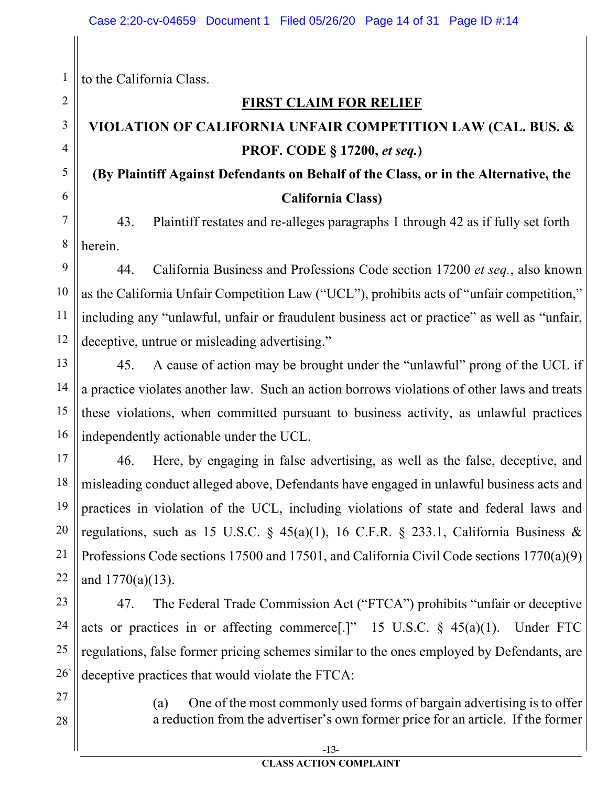to the California Class.

#### **FIRST CLAIM FOR RELIEF**

# **VIOLATION OF CALIFORNIA UNFAIR COMPETITION LAW (CAL. BUS. & PROF. CODE § 17200,** *et seq.***)**

### **(By Plaintiff Against Defendants on Behalf of the Class, or in the Alternative, the California Class)**

43. Plaintiff restates and re-alleges paragraphs 1 through 42 as if fully set forth herein.

44. California Business and Professions Code section 17200 *et seq.*, also known as the California Unfair Competition Law ("UCL"), prohibits acts of "unfair competition," including any "unlawful, unfair or fraudulent business act or practice" as well as "unfair, deceptive, untrue or misleading advertising."

45. A cause of action may be brought under the "unlawful" prong of the UCL if a practice violates another law. Such an action borrows violations of other laws and treats these violations, when committed pursuant to business activity, as unlawful practices independently actionable under the UCL.

46. Here, by engaging in false advertising, as well as the false, deceptive, and misleading conduct alleged above, Defendants have engaged in unlawful business acts and practices in violation of the UCL, including violations of state and federal laws and regulations, such as 15 U.S.C. § 45(a)(1), 16 C.F.R. § 233.1, California Business & Professions Code sections 17500 and 17501, and California Civil Code sections 1770(a)(9) and 1770(a)(13).

47. The Federal Trade Commission Act ("FTCA") prohibits "unfair or deceptive acts or practices in or affecting commerce<sup>[1]</sup>" 15 U.S.C.  $\S$  45(a)(1). Under FTC regulations, false former pricing schemes similar to the ones employed by Defendants, are deceptive practices that would violate the FTCA:

> (a) One of the most commonly used forms of bargain advertising is to offer a reduction from the advertiser's own former price for an article. If the former

28

27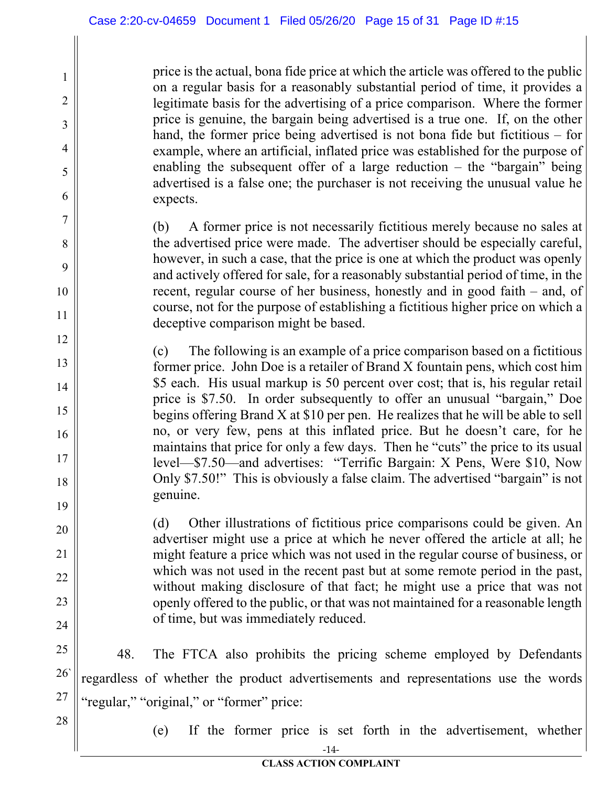price is the actual, bona fide price at which the article was offered to the public on a regular basis for a reasonably substantial period of time, it provides a legitimate basis for the advertising of a price comparison. Where the former price is genuine, the bargain being advertised is a true one. If, on the other hand, the former price being advertised is not bona fide but fictitious – for example, where an artificial, inflated price was established for the purpose of enabling the subsequent offer of a large reduction – the "bargain" being advertised is a false one; the purchaser is not receiving the unusual value he expects.

(b) A former price is not necessarily fictitious merely because no sales at the advertised price were made. The advertiser should be especially careful, however, in such a case, that the price is one at which the product was openly and actively offered for sale, for a reasonably substantial period of time, in the recent, regular course of her business, honestly and in good faith – and, of course, not for the purpose of establishing a fictitious higher price on which a deceptive comparison might be based.

(c) The following is an example of a price comparison based on a fictitious former price. John Doe is a retailer of Brand X fountain pens, which cost him \$5 each. His usual markup is 50 percent over cost; that is, his regular retail price is \$7.50. In order subsequently to offer an unusual "bargain," Doe begins offering Brand X at \$10 per pen. He realizes that he will be able to sell no, or very few, pens at this inflated price. But he doesn't care, for he maintains that price for only a few days. Then he "cuts" the price to its usual level—\$7.50—and advertises: "Terrific Bargain: X Pens, Were \$10, Now Only \$7.50!" This is obviously a false claim. The advertised "bargain" is not genuine.

(d) Other illustrations of fictitious price comparisons could be given. An advertiser might use a price at which he never offered the article at all; he might feature a price which was not used in the regular course of business, or which was not used in the recent past but at some remote period in the past, without making disclosure of that fact; he might use a price that was not openly offered to the public, or that was not maintained for a reasonable length of time, but was immediately reduced.

25 26` 27 48. The FTCA also prohibits the pricing scheme employed by Defendants regardless of whether the product advertisements and representations use the words "regular," "original," or "former" price:

28

1

2

3

4

5

6

7

8

9

10

11

12

13

14

15

16

17

18

19

20

21

22

23

24

(e) If the former price is set forth in the advertisement, whether

-14-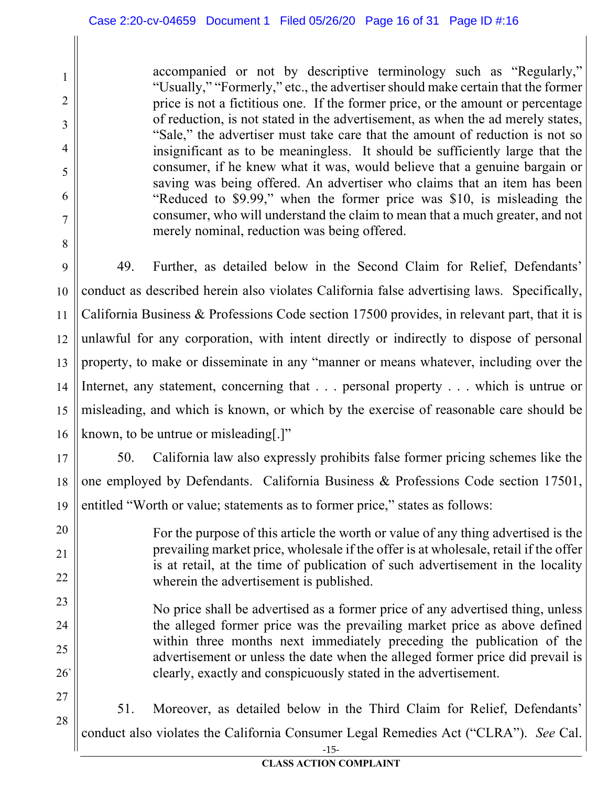1

2

3

4

5

6

7

8

20

21

22

23

24

25

26`

accompanied or not by descriptive terminology such as "Regularly," "Usually," "Formerly," etc., the advertiser should make certain that the former price is not a fictitious one. If the former price, or the amount or percentage of reduction, is not stated in the advertisement, as when the ad merely states, "Sale," the advertiser must take care that the amount of reduction is not so insignificant as to be meaningless. It should be sufficiently large that the consumer, if he knew what it was, would believe that a genuine bargain or saving was being offered. An advertiser who claims that an item has been "Reduced to \$9.99," when the former price was \$10, is misleading the consumer, who will understand the claim to mean that a much greater, and not merely nominal, reduction was being offered.

9 10 11 12 13 14 15 16 49. Further, as detailed below in the Second Claim for Relief, Defendants' conduct as described herein also violates California false advertising laws. Specifically, California Business & Professions Code section 17500 provides, in relevant part, that it is unlawful for any corporation, with intent directly or indirectly to dispose of personal property, to make or disseminate in any "manner or means whatever, including over the Internet, any statement, concerning that . . . personal property . . . which is untrue or misleading, and which is known, or which by the exercise of reasonable care should be known, to be untrue or misleading[.]"

17 18 19 50. California law also expressly prohibits false former pricing schemes like the one employed by Defendants. California Business & Professions Code section 17501, entitled "Worth or value; statements as to former price," states as follows:

For the purpose of this article the worth or value of any thing advertised is the prevailing market price, wholesale if the offer is at wholesale, retail if the offer is at retail, at the time of publication of such advertisement in the locality wherein the advertisement is published.

No price shall be advertised as a former price of any advertised thing, unless the alleged former price was the prevailing market price as above defined within three months next immediately preceding the publication of the advertisement or unless the date when the alleged former price did prevail is clearly, exactly and conspicuously stated in the advertisement.

27 28 -15- 51. Moreover, as detailed below in the Third Claim for Relief, Defendants' conduct also violates the California Consumer Legal Remedies Act ("CLRA"). *See* Cal.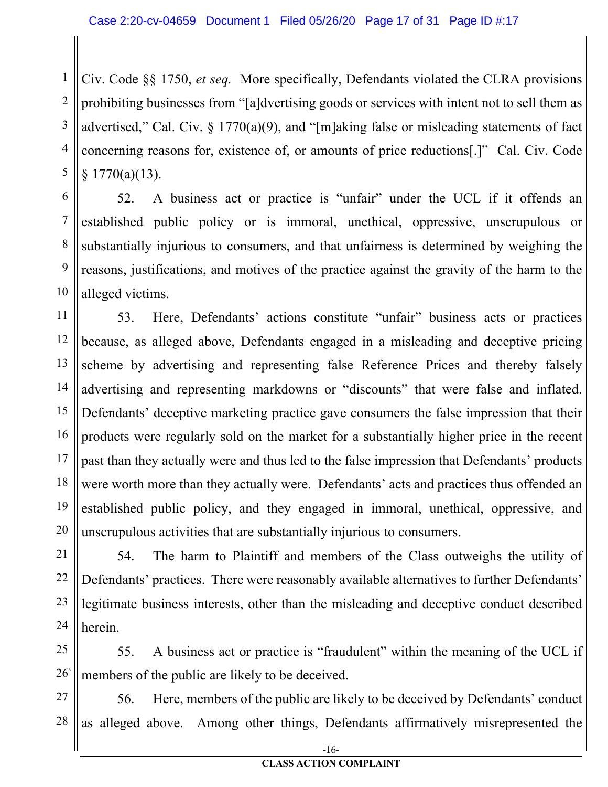1 2 3 4 5 Civ. Code §§ 1750, *et seq.* More specifically, Defendants violated the CLRA provisions prohibiting businesses from "[a]dvertising goods or services with intent not to sell them as advertised," Cal. Civ.  $\S 1770(a)(9)$ , and "[m]aking false or misleading statements of fact concerning reasons for, existence of, or amounts of price reductions[.]" Cal. Civ. Code § 1770(a)(13).

6 7 8 9 10 52. A business act or practice is "unfair" under the UCL if it offends an established public policy or is immoral, unethical, oppressive, unscrupulous or substantially injurious to consumers, and that unfairness is determined by weighing the reasons, justifications, and motives of the practice against the gravity of the harm to the alleged victims.

11 12 13 14 15 16 17 18 19 20 53. Here, Defendants' actions constitute "unfair" business acts or practices because, as alleged above, Defendants engaged in a misleading and deceptive pricing scheme by advertising and representing false Reference Prices and thereby falsely advertising and representing markdowns or "discounts" that were false and inflated. Defendants' deceptive marketing practice gave consumers the false impression that their products were regularly sold on the market for a substantially higher price in the recent past than they actually were and thus led to the false impression that Defendants' products were worth more than they actually were. Defendants' acts and practices thus offended an established public policy, and they engaged in immoral, unethical, oppressive, and unscrupulous activities that are substantially injurious to consumers.

21 22 23 24 54. The harm to Plaintiff and members of the Class outweighs the utility of Defendants' practices. There were reasonably available alternatives to further Defendants' legitimate business interests, other than the misleading and deceptive conduct described herein.

25 26` 55. A business act or practice is "fraudulent" within the meaning of the UCL if members of the public are likely to be deceived.

27 28 56. Here, members of the public are likely to be deceived by Defendants' conduct as alleged above. Among other things, Defendants affirmatively misrepresented the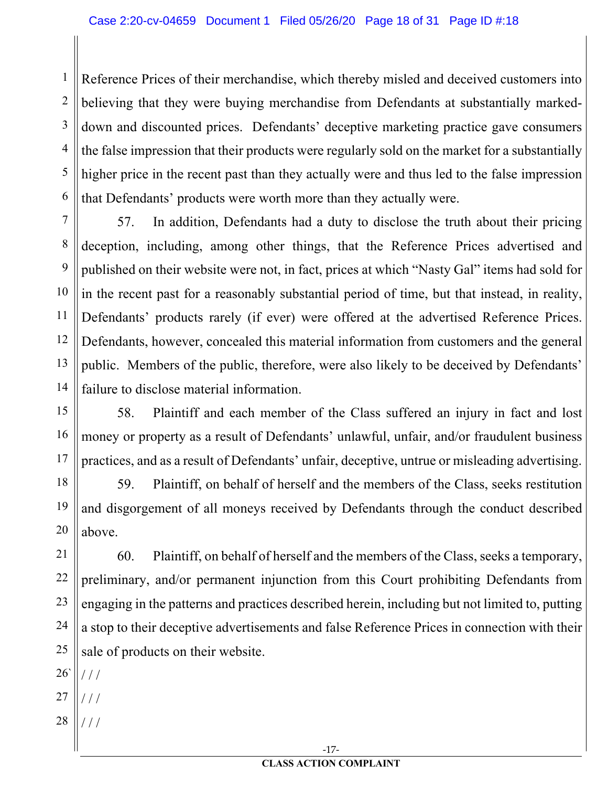2 3 4 5 6 Reference Prices of their merchandise, which thereby misled and deceived customers into believing that they were buying merchandise from Defendants at substantially markeddown and discounted prices. Defendants' deceptive marketing practice gave consumers the false impression that their products were regularly sold on the market for a substantially higher price in the recent past than they actually were and thus led to the false impression that Defendants' products were worth more than they actually were.

7 8 9 10 11 12 13 14 57. In addition, Defendants had a duty to disclose the truth about their pricing deception, including, among other things, that the Reference Prices advertised and published on their website were not, in fact, prices at which "Nasty Gal" items had sold for in the recent past for a reasonably substantial period of time, but that instead, in reality, Defendants' products rarely (if ever) were offered at the advertised Reference Prices. Defendants, however, concealed this material information from customers and the general public. Members of the public, therefore, were also likely to be deceived by Defendants' failure to disclose material information.

15 16 17 58. Plaintiff and each member of the Class suffered an injury in fact and lost money or property as a result of Defendants' unlawful, unfair, and/or fraudulent business practices, and as a result of Defendants' unfair, deceptive, untrue or misleading advertising.

18 59. Plaintiff, on behalf of herself and the members of the Class, seeks restitution and disgorgement of all moneys received by Defendants through the conduct described above.

21 22 23 24 25 60. Plaintiff, on behalf of herself and the members of the Class, seeks a temporary, preliminary, and/or permanent injunction from this Court prohibiting Defendants from engaging in the patterns and practices described herein, including but not limited to, putting a stop to their deceptive advertisements and false Reference Prices in connection with their sale of products on their website.

26` / / /

19

20

1

- 27 / / /
- 28 / / /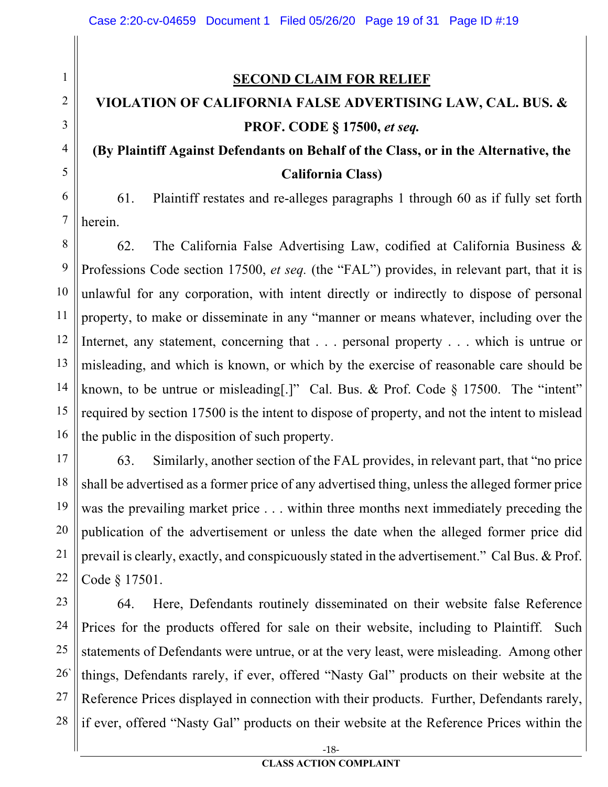#### **SECOND CLAIM FOR RELIEF**

## **VIOLATION OF CALIFORNIA FALSE ADVERTISING LAW, CAL. BUS. & PROF. CODE § 17500,** *et seq.*

### **(By Plaintiff Against Defendants on Behalf of the Class, or in the Alternative, the California Class)**

61. Plaintiff restates and re-alleges paragraphs 1 through 60 as if fully set forth herein.

62. The California False Advertising Law, codified at California Business & Professions Code section 17500, *et seq.* (the "FAL") provides, in relevant part, that it is unlawful for any corporation, with intent directly or indirectly to dispose of personal property, to make or disseminate in any "manner or means whatever, including over the Internet, any statement, concerning that . . . personal property . . . which is untrue or misleading, and which is known, or which by the exercise of reasonable care should be known, to be untrue or misleading[.]" Cal. Bus. & Prof. Code § 17500. The "intent" required by section 17500 is the intent to dispose of property, and not the intent to mislead the public in the disposition of such property.

63. Similarly, another section of the FAL provides, in relevant part, that "no price shall be advertised as a former price of any advertised thing, unless the alleged former price was the prevailing market price . . . within three months next immediately preceding the publication of the advertisement or unless the date when the alleged former price did prevail is clearly, exactly, and conspicuously stated in the advertisement." Cal Bus. & Prof. Code § 17501.

25 26` 27 28 64. Here, Defendants routinely disseminated on their website false Reference Prices for the products offered for sale on their website, including to Plaintiff. Such statements of Defendants were untrue, or at the very least, were misleading. Among other things, Defendants rarely, if ever, offered "Nasty Gal" products on their website at the Reference Prices displayed in connection with their products. Further, Defendants rarely, if ever, offered "Nasty Gal" products on their website at the Reference Prices within the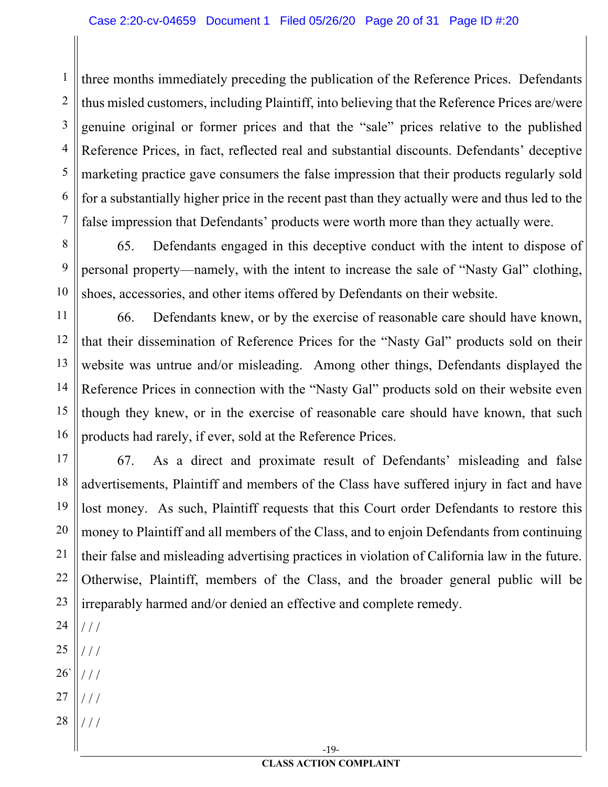1 2 3 4 5 6 7 three months immediately preceding the publication of the Reference Prices. Defendants thus misled customers, including Plaintiff, into believing that the Reference Prices are/were genuine original or former prices and that the "sale" prices relative to the published Reference Prices, in fact, reflected real and substantial discounts. Defendants' deceptive marketing practice gave consumers the false impression that their products regularly sold for a substantially higher price in the recent past than they actually were and thus led to the false impression that Defendants' products were worth more than they actually were.

8 9 10 65. Defendants engaged in this deceptive conduct with the intent to dispose of personal property—namely, with the intent to increase the sale of "Nasty Gal" clothing, shoes, accessories, and other items offered by Defendants on their website.

11 12 13 14 15 16 66. Defendants knew, or by the exercise of reasonable care should have known, that their dissemination of Reference Prices for the "Nasty Gal" products sold on their website was untrue and/or misleading. Among other things, Defendants displayed the Reference Prices in connection with the "Nasty Gal" products sold on their website even though they knew, or in the exercise of reasonable care should have known, that such products had rarely, if ever, sold at the Reference Prices.

17 18 19 20 21 22 23 67. As a direct and proximate result of Defendants' misleading and false advertisements, Plaintiff and members of the Class have suffered injury in fact and have lost money. As such, Plaintiff requests that this Court order Defendants to restore this money to Plaintiff and all members of the Class, and to enjoin Defendants from continuing their false and misleading advertising practices in violation of California law in the future. Otherwise, Plaintiff, members of the Class, and the broader general public will be irreparably harmed and/or denied an effective and complete remedy.

- 24  $/ /$
- 25 / / /
- 26` / / /
- 27 / / /
- 28 / / /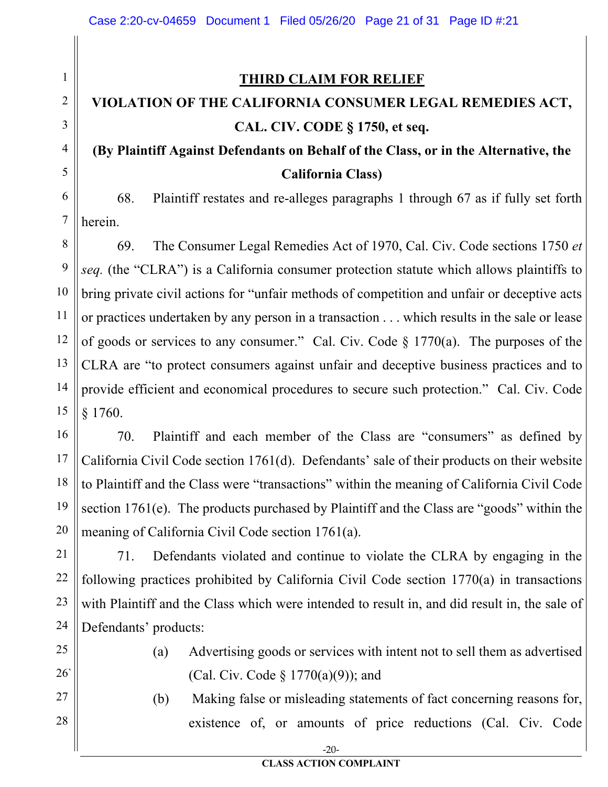#### **THIRD CLAIM FOR RELIEF**

### **VIOLATION OF THE CALIFORNIA CONSUMER LEGAL REMEDIES ACT, CAL. CIV. CODE § 1750, et seq.**

### **(By Plaintiff Against Defendants on Behalf of the Class, or in the Alternative, the California Class)**

6 7 68. Plaintiff restates and re-alleges paragraphs 1 through 67 as if fully set forth herein.

8 9 10 11 12 13 14 15 69. The Consumer Legal Remedies Act of 1970, Cal. Civ. Code sections 1750 *et seq.* (the "CLRA") is a California consumer protection statute which allows plaintiffs to bring private civil actions for "unfair methods of competition and unfair or deceptive acts or practices undertaken by any person in a transaction . . . which results in the sale or lease of goods or services to any consumer." Cal. Civ. Code § 1770(a). The purposes of the CLRA are "to protect consumers against unfair and deceptive business practices and to provide efficient and economical procedures to secure such protection." Cal. Civ. Code § 1760.

16 17 18 19 20 70. Plaintiff and each member of the Class are "consumers" as defined by California Civil Code section 1761(d). Defendants' sale of their products on their website to Plaintiff and the Class were "transactions" within the meaning of California Civil Code section 1761(e). The products purchased by Plaintiff and the Class are "goods" within the meaning of California Civil Code section 1761(a).

21 22 23 24 71. Defendants violated and continue to violate the CLRA by engaging in the following practices prohibited by California Civil Code section 1770(a) in transactions with Plaintiff and the Class which were intended to result in, and did result in, the sale of Defendants' products:

25

1

2

3

4

5

26`

27

28

- (a) Advertising goods or services with intent not to sell them as advertised (Cal. Civ. Code § 1770(a)(9)); and
- (b) Making false or misleading statements of fact concerning reasons for, existence of, or amounts of price reductions (Cal. Civ. Code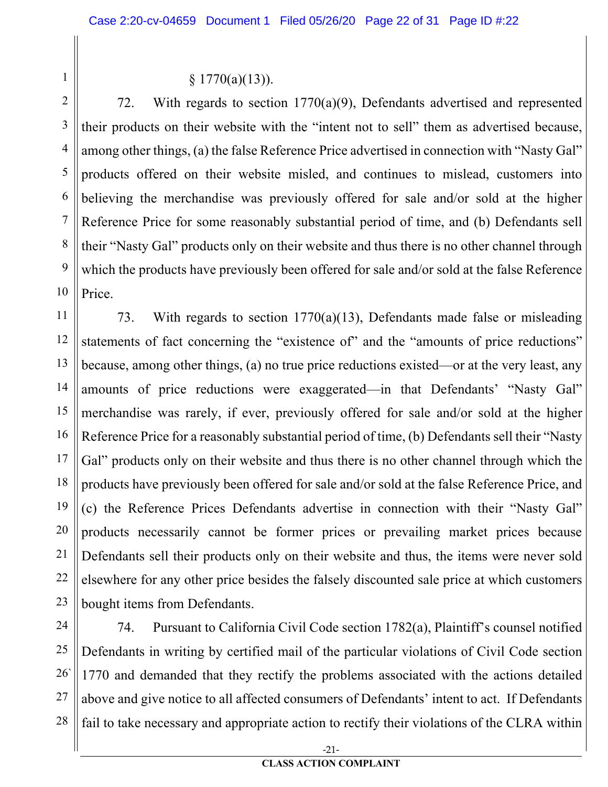$$ 1770(a)(13)$ .

1

2 3 4 5 6 7 8 9 10 72. With regards to section 1770(a)(9), Defendants advertised and represented their products on their website with the "intent not to sell" them as advertised because, among other things, (a) the false Reference Price advertised in connection with "Nasty Gal" products offered on their website misled, and continues to mislead, customers into believing the merchandise was previously offered for sale and/or sold at the higher Reference Price for some reasonably substantial period of time, and (b) Defendants sell their "Nasty Gal" products only on their website and thus there is no other channel through which the products have previously been offered for sale and/or sold at the false Reference Price.

11 12 13 14 15 16 17 18 19 20 21 22 23 73. With regards to section 1770(a)(13), Defendants made false or misleading statements of fact concerning the "existence of" and the "amounts of price reductions" because, among other things, (a) no true price reductions existed—or at the very least, any amounts of price reductions were exaggerated—in that Defendants' "Nasty Gal" merchandise was rarely, if ever, previously offered for sale and/or sold at the higher Reference Price for a reasonably substantial period of time, (b) Defendants sell their "Nasty Gal" products only on their website and thus there is no other channel through which the products have previously been offered for sale and/or sold at the false Reference Price, and (c) the Reference Prices Defendants advertise in connection with their "Nasty Gal" products necessarily cannot be former prices or prevailing market prices because Defendants sell their products only on their website and thus, the items were never sold elsewhere for any other price besides the falsely discounted sale price at which customers bought items from Defendants.

24 25 26` 27 28 74. Pursuant to California Civil Code section 1782(a), Plaintiff's counsel notified Defendants in writing by certified mail of the particular violations of Civil Code section 1770 and demanded that they rectify the problems associated with the actions detailed above and give notice to all affected consumers of Defendants' intent to act. If Defendants fail to take necessary and appropriate action to rectify their violations of the CLRA within

-21-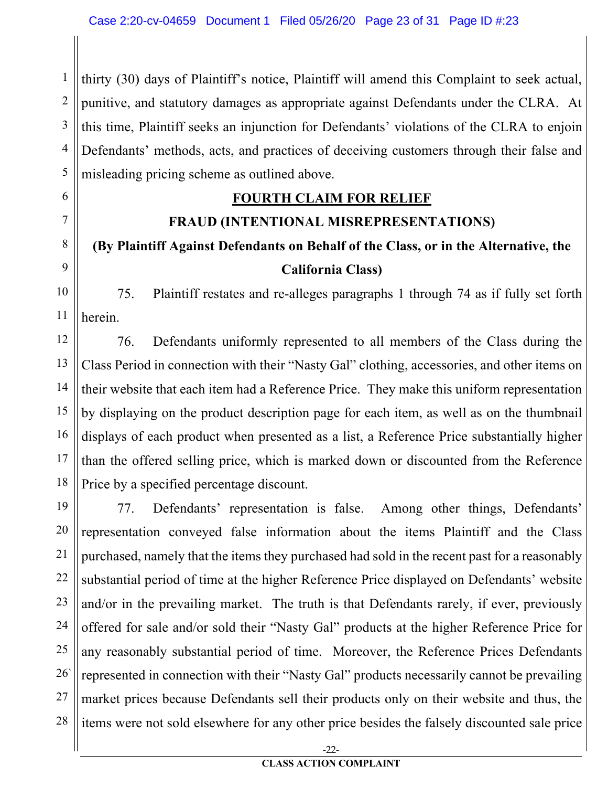1 2 3 4 5 thirty (30) days of Plaintiff's notice, Plaintiff will amend this Complaint to seek actual, punitive, and statutory damages as appropriate against Defendants under the CLRA. At this time, Plaintiff seeks an injunction for Defendants' violations of the CLRA to enjoin Defendants' methods, acts, and practices of deceiving customers through their false and misleading pricing scheme as outlined above.

#### **FOURTH CLAIM FOR RELIEF**

6

7

8

9

#### **FRAUD (INTENTIONAL MISREPRESENTATIONS)**

# **(By Plaintiff Against Defendants on Behalf of the Class, or in the Alternative, the California Class)**

10 11 75. Plaintiff restates and re-alleges paragraphs 1 through 74 as if fully set forth herein.

12 13 14 15 16 17 18 76. Defendants uniformly represented to all members of the Class during the Class Period in connection with their "Nasty Gal" clothing, accessories, and other items on their website that each item had a Reference Price. They make this uniform representation by displaying on the product description page for each item, as well as on the thumbnail displays of each product when presented as a list, a Reference Price substantially higher than the offered selling price, which is marked down or discounted from the Reference Price by a specified percentage discount.

19 20 21 22 23 24 25 26` 27 28 77. Defendants' representation is false. Among other things, Defendants' representation conveyed false information about the items Plaintiff and the Class purchased, namely that the items they purchased had sold in the recent past for a reasonably substantial period of time at the higher Reference Price displayed on Defendants' website and/or in the prevailing market. The truth is that Defendants rarely, if ever, previously offered for sale and/or sold their "Nasty Gal" products at the higher Reference Price for any reasonably substantial period of time. Moreover, the Reference Prices Defendants represented in connection with their "Nasty Gal" products necessarily cannot be prevailing market prices because Defendants sell their products only on their website and thus, the items were not sold elsewhere for any other price besides the falsely discounted sale price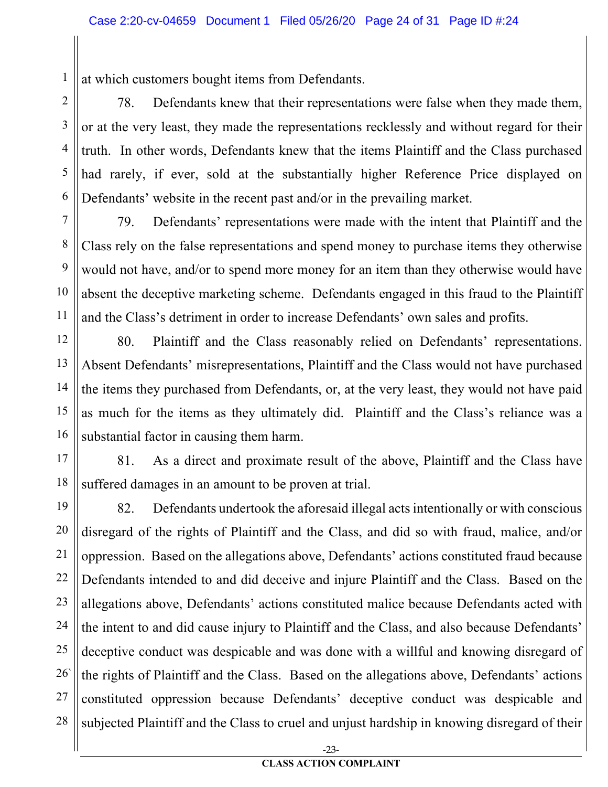at which customers bought items from Defendants.

1

2 3 4 5 6 78. Defendants knew that their representations were false when they made them, or at the very least, they made the representations recklessly and without regard for their truth. In other words, Defendants knew that the items Plaintiff and the Class purchased had rarely, if ever, sold at the substantially higher Reference Price displayed on Defendants' website in the recent past and/or in the prevailing market.

7 8 9 10 11 79. Defendants' representations were made with the intent that Plaintiff and the Class rely on the false representations and spend money to purchase items they otherwise would not have, and/or to spend more money for an item than they otherwise would have absent the deceptive marketing scheme. Defendants engaged in this fraud to the Plaintiff and the Class's detriment in order to increase Defendants' own sales and profits.

12 13 14 15 16 80. Plaintiff and the Class reasonably relied on Defendants' representations. Absent Defendants' misrepresentations, Plaintiff and the Class would not have purchased the items they purchased from Defendants, or, at the very least, they would not have paid as much for the items as they ultimately did. Plaintiff and the Class's reliance was a substantial factor in causing them harm.

17 18 81. As a direct and proximate result of the above, Plaintiff and the Class have suffered damages in an amount to be proven at trial.

19 20 21 22 23 24 25 26` 27 28 82. Defendants undertook the aforesaid illegal acts intentionally or with conscious disregard of the rights of Plaintiff and the Class, and did so with fraud, malice, and/or oppression. Based on the allegations above, Defendants' actions constituted fraud because Defendants intended to and did deceive and injure Plaintiff and the Class. Based on the allegations above, Defendants' actions constituted malice because Defendants acted with the intent to and did cause injury to Plaintiff and the Class, and also because Defendants' deceptive conduct was despicable and was done with a willful and knowing disregard of the rights of Plaintiff and the Class. Based on the allegations above, Defendants' actions constituted oppression because Defendants' deceptive conduct was despicable and subjected Plaintiff and the Class to cruel and unjust hardship in knowing disregard of their

-23-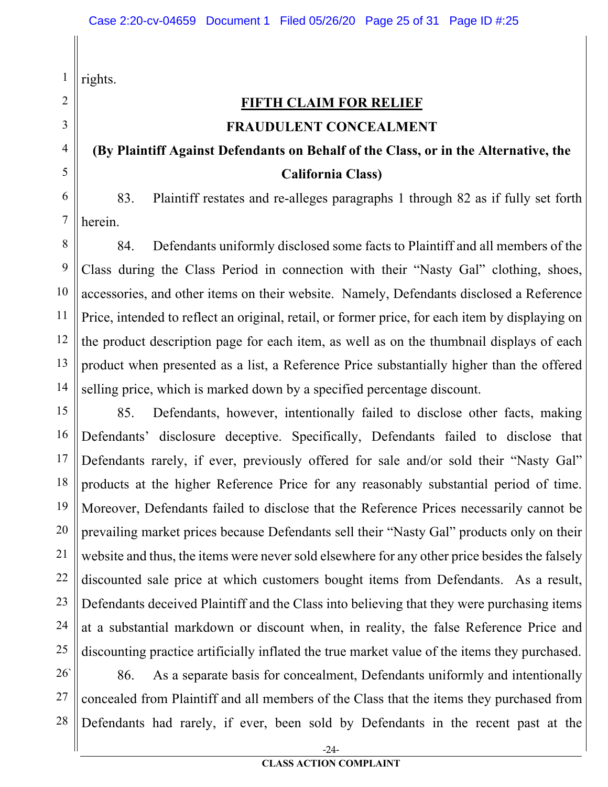1 rights.

2

### **FIFTH CLAIM FOR RELIEF FRAUDULENT CONCEALMENT**

### **(By Plaintiff Against Defendants on Behalf of the Class, or in the Alternative, the California Class)**

83. Plaintiff restates and re-alleges paragraphs 1 through 82 as if fully set forth herein.

84. Defendants uniformly disclosed some facts to Plaintiff and all members of the Class during the Class Period in connection with their "Nasty Gal" clothing, shoes, accessories, and other items on their website. Namely, Defendants disclosed a Reference Price, intended to reflect an original, retail, or former price, for each item by displaying on the product description page for each item, as well as on the thumbnail displays of each product when presented as a list, a Reference Price substantially higher than the offered selling price, which is marked down by a specified percentage discount.

21 22 23 24 25 85. Defendants, however, intentionally failed to disclose other facts, making Defendants' disclosure deceptive. Specifically, Defendants failed to disclose that Defendants rarely, if ever, previously offered for sale and/or sold their "Nasty Gal" products at the higher Reference Price for any reasonably substantial period of time. Moreover, Defendants failed to disclose that the Reference Prices necessarily cannot be prevailing market prices because Defendants sell their "Nasty Gal" products only on their website and thus, the items were never sold elsewhere for any other price besides the falsely discounted sale price at which customers bought items from Defendants. As a result, Defendants deceived Plaintiff and the Class into believing that they were purchasing items at a substantial markdown or discount when, in reality, the false Reference Price and discounting practice artificially inflated the true market value of the items they purchased.

26` 27 28 86. As a separate basis for concealment, Defendants uniformly and intentionally concealed from Plaintiff and all members of the Class that the items they purchased from Defendants had rarely, if ever, been sold by Defendants in the recent past at the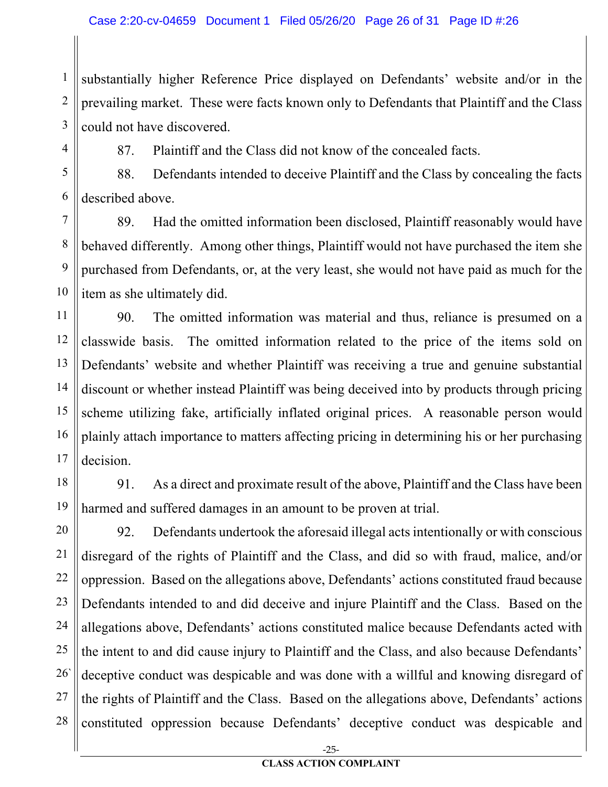1 2 3 substantially higher Reference Price displayed on Defendants' website and/or in the prevailing market. These were facts known only to Defendants that Plaintiff and the Class could not have discovered.

4

87. Plaintiff and the Class did not know of the concealed facts.

5 6 88. Defendants intended to deceive Plaintiff and the Class by concealing the facts described above.

7 8 9 10 89. Had the omitted information been disclosed, Plaintiff reasonably would have behaved differently. Among other things, Plaintiff would not have purchased the item she purchased from Defendants, or, at the very least, she would not have paid as much for the item as she ultimately did.

11 12 13 14 15 16 17 90. The omitted information was material and thus, reliance is presumed on a classwide basis. The omitted information related to the price of the items sold on Defendants' website and whether Plaintiff was receiving a true and genuine substantial discount or whether instead Plaintiff was being deceived into by products through pricing scheme utilizing fake, artificially inflated original prices. A reasonable person would plainly attach importance to matters affecting pricing in determining his or her purchasing decision.

18

19

91. As a direct and proximate result of the above, Plaintiff and the Class have been harmed and suffered damages in an amount to be proven at trial.

20 21 22 23 24 25 26` 27 28 92. Defendants undertook the aforesaid illegal acts intentionally or with conscious disregard of the rights of Plaintiff and the Class, and did so with fraud, malice, and/or oppression. Based on the allegations above, Defendants' actions constituted fraud because Defendants intended to and did deceive and injure Plaintiff and the Class. Based on the allegations above, Defendants' actions constituted malice because Defendants acted with the intent to and did cause injury to Plaintiff and the Class, and also because Defendants' deceptive conduct was despicable and was done with a willful and knowing disregard of the rights of Plaintiff and the Class. Based on the allegations above, Defendants' actions constituted oppression because Defendants' deceptive conduct was despicable and

-25-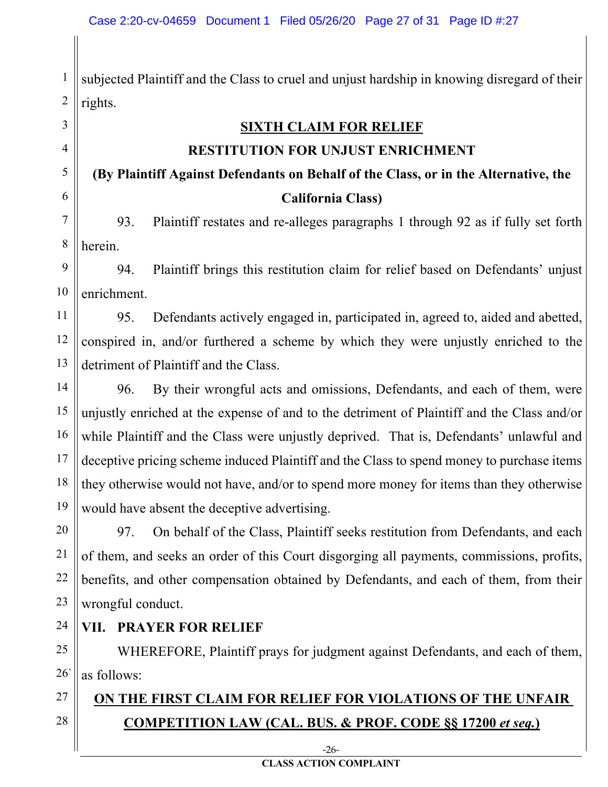1 2 subjected Plaintiff and the Class to cruel and unjust hardship in knowing disregard of their rights.

**SIXTH CLAIM FOR RELIEF**

#### **RESTITUTION FOR UNJUST ENRICHMENT**

### **(By Plaintiff Against Defendants on Behalf of the Class, or in the Alternative, the California Class)**

7 8 93. Plaintiff restates and re-alleges paragraphs 1 through 92 as if fully set forth herein.

9 10 94. Plaintiff brings this restitution claim for relief based on Defendants' unjust enrichment.

95. Defendants actively engaged in, participated in, agreed to, aided and abetted, conspired in, and/or furthered a scheme by which they were unjustly enriched to the detriment of Plaintiff and the Class.

14 15 16 17 18 19 96. By their wrongful acts and omissions, Defendants, and each of them, were unjustly enriched at the expense of and to the detriment of Plaintiff and the Class and/or while Plaintiff and the Class were unjustly deprived. That is, Defendants' unlawful and deceptive pricing scheme induced Plaintiff and the Class to spend money to purchase items they otherwise would not have, and/or to spend more money for items than they otherwise would have absent the deceptive advertising.

20 21 22 23 97. On behalf of the Class, Plaintiff seeks restitution from Defendants, and each of them, and seeks an order of this Court disgorging all payments, commissions, profits, benefits, and other compensation obtained by Defendants, and each of them, from their wrongful conduct.

#### **VII. PRAYER FOR RELIEF**

3

4

5

6

11

12

13

24

27

28

25 26` WHEREFORE, Plaintiff prays for judgment against Defendants, and each of them, as follows:

### **ON THE FIRST CLAIM FOR RELIEF FOR VIOLATIONS OF THE UNFAIR COMPETITION LAW (CAL. BUS. & PROF. CODE §§ 17200** *et seq.***)**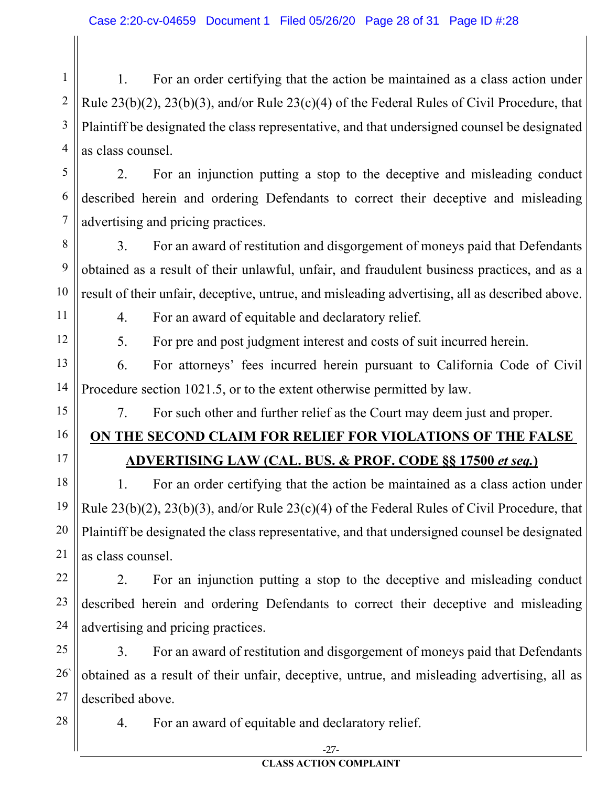1 2 3 4 1. For an order certifying that the action be maintained as a class action under Rule 23(b)(2), 23(b)(3), and/or Rule 23(c)(4) of the Federal Rules of Civil Procedure, that Plaintiff be designated the class representative, and that undersigned counsel be designated as class counsel.

2. For an injunction putting a stop to the deceptive and misleading conduct described herein and ordering Defendants to correct their deceptive and misleading advertising and pricing practices.

3. For an award of restitution and disgorgement of moneys paid that Defendants obtained as a result of their unlawful, unfair, and fraudulent business practices, and as a result of their unfair, deceptive, untrue, and misleading advertising, all as described above.

11

10

5

6

7

8

9

12

4. For an award of equitable and declaratory relief.

5. For pre and post judgment interest and costs of suit incurred herein.

13 14 6. For attorneys' fees incurred herein pursuant to California Code of Civil Procedure section 1021.5, or to the extent otherwise permitted by law.

15

16

17

7. For such other and further relief as the Court may deem just and proper.

# **ON THE SECOND CLAIM FOR RELIEF FOR VIOLATIONS OF THE FALSE**

**ADVERTISING LAW (CAL. BUS. & PROF. CODE §§ 17500** *et seq.***)**

18 19 20 21 1. For an order certifying that the action be maintained as a class action under Rule 23(b)(2), 23(b)(3), and/or Rule 23(c)(4) of the Federal Rules of Civil Procedure, that Plaintiff be designated the class representative, and that undersigned counsel be designated as class counsel.

22 2. For an injunction putting a stop to the deceptive and misleading conduct described herein and ordering Defendants to correct their deceptive and misleading advertising and pricing practices.

25 26` 27 3. For an award of restitution and disgorgement of moneys paid that Defendants obtained as a result of their unfair, deceptive, untrue, and misleading advertising, all as described above.

28

23

24

4. For an award of equitable and declaratory relief.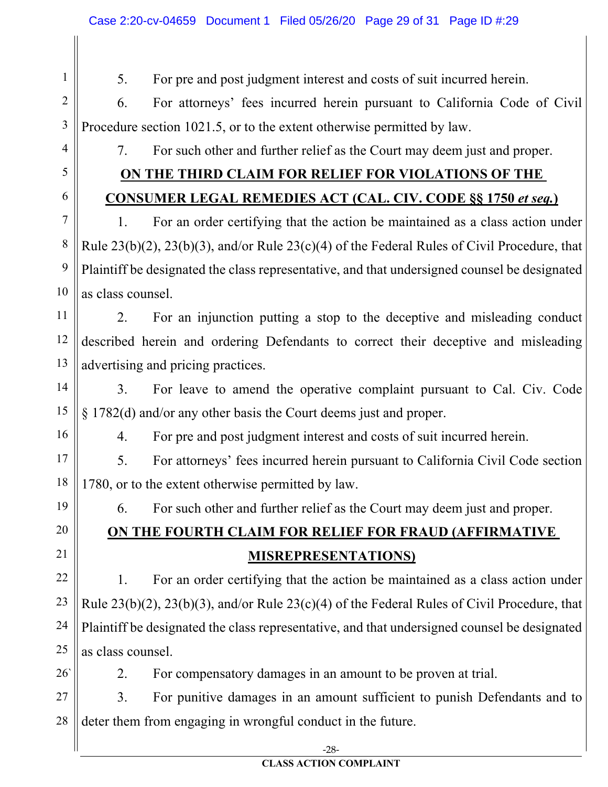5. For pre and post judgment interest and costs of suit incurred herein.

2 3 6. For attorneys' fees incurred herein pursuant to California Code of Civil Procedure section 1021.5, or to the extent otherwise permitted by law.

4

1

7. For such other and further relief as the Court may deem just and proper.

### **ON THE THIRD CLAIM FOR RELIEF FOR VIOLATIONS OF THE**

**CONSUMER LEGAL REMEDIES ACT (CAL. CIV. CODE §§ 1750** *et seq.***)**

#### 6

7

8

9

10

11

12

13

14

15

16

19

20

21

5

1. For an order certifying that the action be maintained as a class action under Rule 23(b)(2), 23(b)(3), and/or Rule 23(c)(4) of the Federal Rules of Civil Procedure, that Plaintiff be designated the class representative, and that undersigned counsel be designated as class counsel.

2. For an injunction putting a stop to the deceptive and misleading conduct described herein and ordering Defendants to correct their deceptive and misleading advertising and pricing practices.

3. For leave to amend the operative complaint pursuant to Cal. Civ. Code § 1782(d) and/or any other basis the Court deems just and proper.

4. For pre and post judgment interest and costs of suit incurred herein.

17 18 5. For attorneys' fees incurred herein pursuant to California Civil Code section 1780, or to the extent otherwise permitted by law.

6. For such other and further relief as the Court may deem just and proper.

# **ON THE FOURTH CLAIM FOR RELIEF FOR FRAUD (AFFIRMATIVE MISREPRESENTATIONS)**

22 23 24 25 1. For an order certifying that the action be maintained as a class action under Rule 23(b)(2), 23(b)(3), and/or Rule 23(c)(4) of the Federal Rules of Civil Procedure, that Plaintiff be designated the class representative, and that undersigned counsel be designated as class counsel.

26`

2. For compensatory damages in an amount to be proven at trial.

27 28 3. For punitive damages in an amount sufficient to punish Defendants and to deter them from engaging in wrongful conduct in the future.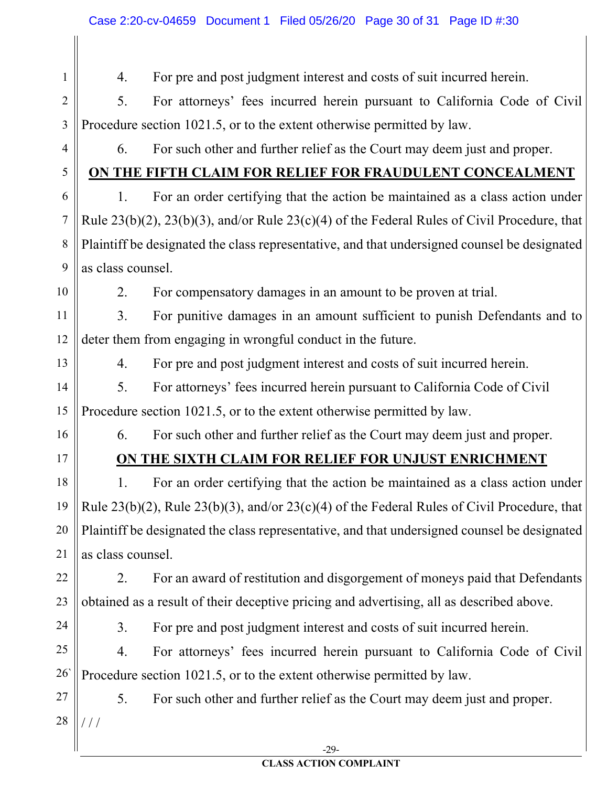1 2 3 4 5 6 7 8 9 10 11 12 13 14 15 16 17 18 19 20 21 22 23 24 25 26` 27 28 4. For pre and post judgment interest and costs of suit incurred herein. 5. For attorneys' fees incurred herein pursuant to California Code of Civil Procedure section 1021.5, or to the extent otherwise permitted by law. 6. For such other and further relief as the Court may deem just and proper. **ON THE FIFTH CLAIM FOR RELIEF FOR FRAUDULENT CONCEALMENT** 1. For an order certifying that the action be maintained as a class action under Rule 23(b)(2), 23(b)(3), and/or Rule 23(c)(4) of the Federal Rules of Civil Procedure, that Plaintiff be designated the class representative, and that undersigned counsel be designated as class counsel. 2. For compensatory damages in an amount to be proven at trial. 3. For punitive damages in an amount sufficient to punish Defendants and to deter them from engaging in wrongful conduct in the future. 4. For pre and post judgment interest and costs of suit incurred herein. 5. For attorneys' fees incurred herein pursuant to California Code of Civil Procedure section 1021.5, or to the extent otherwise permitted by law. 6. For such other and further relief as the Court may deem just and proper. **ON THE SIXTH CLAIM FOR RELIEF FOR UNJUST ENRICHMENT** 1. For an order certifying that the action be maintained as a class action under Rule 23(b)(2), Rule 23(b)(3), and/or 23(c)(4) of the Federal Rules of Civil Procedure, that Plaintiff be designated the class representative, and that undersigned counsel be designated as class counsel. 2. For an award of restitution and disgorgement of moneys paid that Defendants obtained as a result of their deceptive pricing and advertising, all as described above. 3. For pre and post judgment interest and costs of suit incurred herein. 4. For attorneys' fees incurred herein pursuant to California Code of Civil Procedure section 1021.5, or to the extent otherwise permitted by law. 5. For such other and further relief as the Court may deem just and proper. / / /